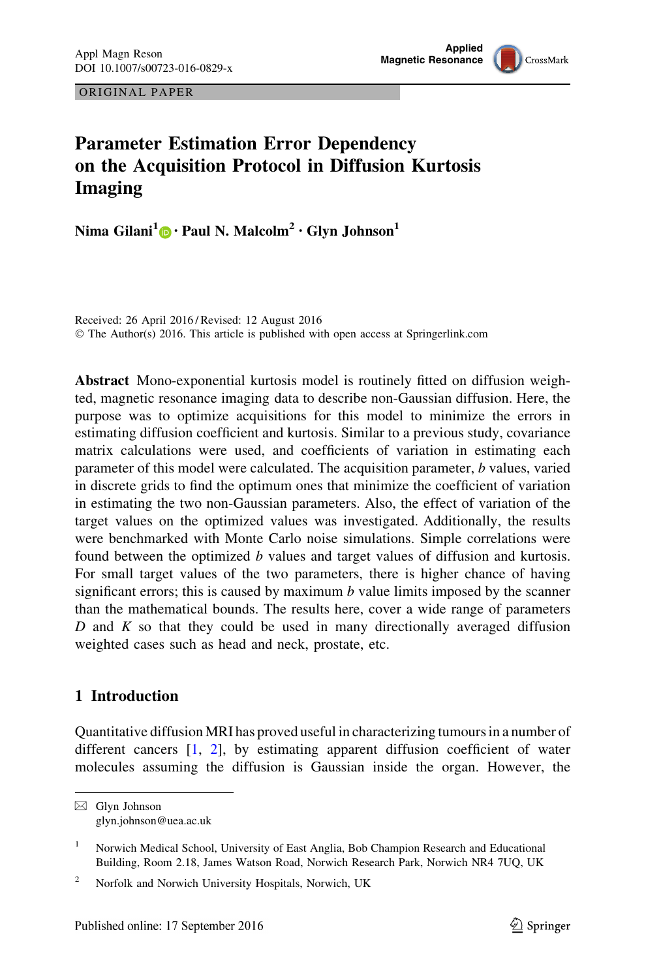ORIGINAL PAPER

# Parameter Estimation Error Dependency on the Acquisition Protocol in Diffusion Kurtosis Imaging

Nima Gilani<sup>1</sup> [•](http://orcid.org/0000-0002-6300-4581) Paul N. Malcolm<sup>2</sup> • Glyn Johnson<sup>1</sup>

Received: 26 April 2016 / Revised: 12 August 2016 © The Author(s) 2016. This article is published with open access at Springerlink.com

Abstract Mono-exponential kurtosis model is routinely fitted on diffusion weighted, magnetic resonance imaging data to describe non-Gaussian diffusion. Here, the purpose was to optimize acquisitions for this model to minimize the errors in estimating diffusion coefficient and kurtosis. Similar to a previous study, covariance matrix calculations were used, and coefficients of variation in estimating each parameter of this model were calculated. The acquisition parameter, b values, varied in discrete grids to find the optimum ones that minimize the coefficient of variation in estimating the two non-Gaussian parameters. Also, the effect of variation of the target values on the optimized values was investigated. Additionally, the results were benchmarked with Monte Carlo noise simulations. Simple correlations were found between the optimized *b* values and target values of diffusion and kurtosis. For small target values of the two parameters, there is higher chance of having significant errors; this is caused by maximum  $b$  value limits imposed by the scanner than the mathematical bounds. The results here, cover a wide range of parameters  $D$  and  $K$  so that they could be used in many directionally averaged diffusion weighted cases such as head and neck, prostate, etc.

# 1 Introduction

Quantitative diffusion MRI has proved useful in characterizing tumours in a number of different cancers [\[1](#page-8-0), [2](#page-8-0)], by estimating apparent diffusion coefficient of water molecules assuming the diffusion is Gaussian inside the organ. However, the



 $\boxtimes$  Glyn Johnson glyn.johnson@uea.ac.uk

<sup>&</sup>lt;sup>1</sup> Norwich Medical School, University of East Anglia, Bob Champion Research and Educational Building, Room 2.18, James Watson Road, Norwich Research Park, Norwich NR4 7UQ, UK

<sup>&</sup>lt;sup>2</sup> Norfolk and Norwich University Hospitals, Norwich, UK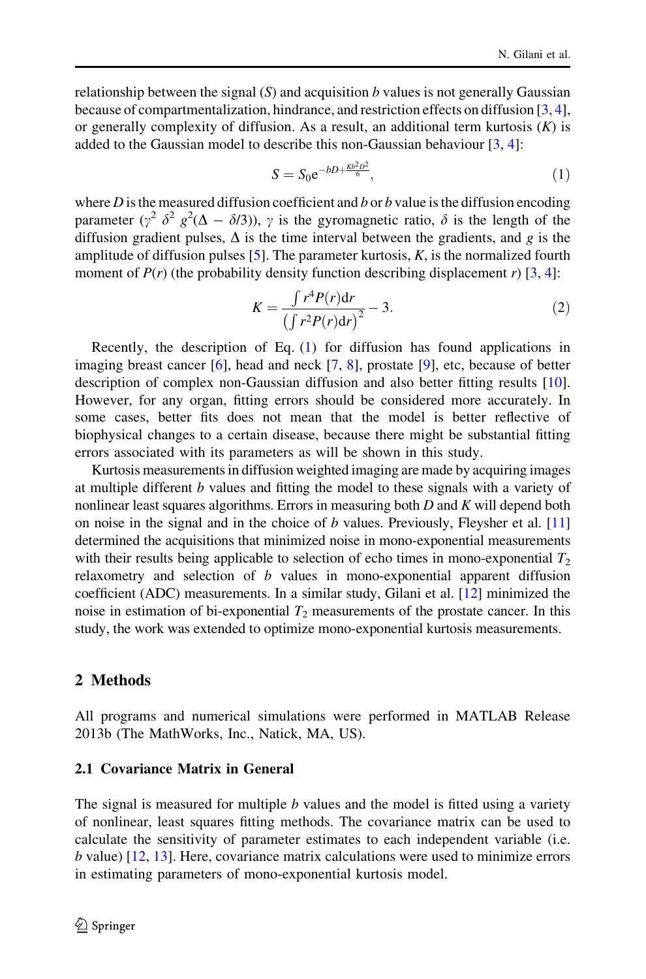<span id="page-1-0"></span>relationship between the signal  $(S)$  and acquisition b values is not generally Gaussian because of compartmentalization, hindrance, and restriction effects on diffusion [[3](#page-8-0), [4\]](#page-8-0), or generally complexity of diffusion. As a result, an additional term kurtosis  $(K)$  is added to the Gaussian model to describe this non-Gaussian behaviour [\[3](#page-8-0), [4](#page-8-0)]:

$$
S = S_0 e^{-bD + \frac{Kb^2 D^2}{6}},\tag{1}
$$

where  $D$  is the measured diffusion coefficient and  $b$  or  $b$  value is the diffusion encoding parameter ( $\gamma^2 \delta^2 g^2(\Delta - \delta/3)$ ),  $\gamma$  is the gyromagnetic ratio,  $\delta$  is the length of the diffusion gradient pulses,  $\Delta$  is the time interval between the gradients, and g is the amplitude of diffusion pulses  $[5]$  $[5]$ . The parameter kurtosis, K, is the normalized fourth moment of  $P(r)$  (the probability density function describing displacement r) [[3,](#page-8-0) [4\]](#page-8-0):

$$
K = \frac{\int r^4 P(r) dr}{\left(\int r^2 P(r) dr\right)^2} - 3.
$$
 (2)

Recently, the description of Eq. (1) for diffusion has found applications in imaging breast cancer  $[6]$  $[6]$ , head and neck  $[7, 8]$  $[7, 8]$  $[7, 8]$ , prostate  $[9]$ , etc, because of better description of complex non-Gaussian diffusion and also better fitting results [[10\]](#page-8-0). However, for any organ, fitting errors should be considered more accurately. In some cases, better fits does not mean that the model is better reflective of biophysical changes to a certain disease, because there might be substantial fitting errors associated with its parameters as will be shown in this study.

Kurtosis measurements in diffusion weighted imaging are made by acquiring images at multiple different b values and fitting the model to these signals with a variety of nonlinear least squares algorithms. Errors in measuring both  $D$  and  $K$  will depend both on noise in the signal and in the choice of b values. Previously, Fleysher et al.  $[11]$  $[11]$ determined the acquisitions that minimized noise in mono-exponential measurements with their results being applicable to selection of echo times in mono-exponential  $T_2$ relaxometry and selection of  $\bar{b}$  values in mono-exponential apparent diffusion coefficient (ADC) measurements. In a similar study, Gilani et al. [\[12](#page-8-0)] minimized the noise in estimation of bi-exponential  $T_2$  measurements of the prostate cancer. In this study, the work was extended to optimize mono-exponential kurtosis measurements.

## 2 Methods

All programs and numerical simulations were performed in MATLAB Release 2013b (The MathWorks, Inc., Natick, MA, US).

## 2.1 Covariance Matrix in General

The signal is measured for multiple  $b$  values and the model is fitted using a variety of nonlinear, least squares fitting methods. The covariance matrix can be used to calculate the sensitivity of parameter estimates to each independent variable (i.e. b value) [\[12](#page-8-0), [13](#page-8-0)]. Here, covariance matrix calculations were used to minimize errors in estimating parameters of mono-exponential kurtosis model.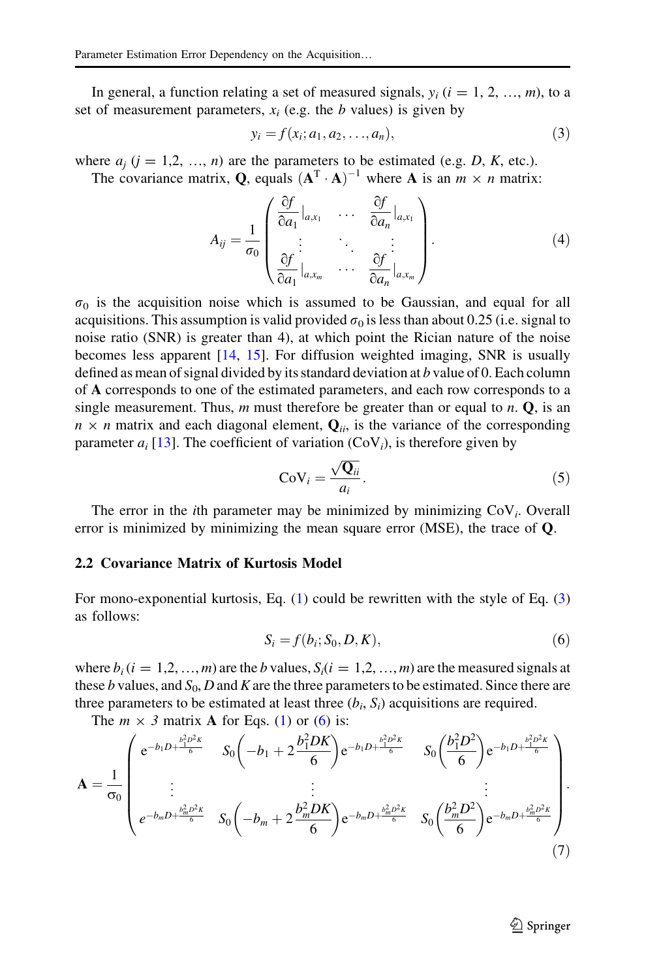<span id="page-2-0"></span>In general, a function relating a set of measured signals,  $y_i$  ( $i = 1, 2, ..., m$ ), to a set of measurement parameters,  $x_i$  (e.g. the b values) is given by

$$
y_i = f(x_i; a_1, a_2, \dots, a_n), \tag{3}
$$

where  $a_i$  ( $j = 1, 2, ..., n$ ) are the parameters to be estimated (e.g. D, K, etc.).

The covariance matrix, Q, equals  $(A^T \cdot A)^{-1}$  where A is an  $m \times n$  matrix:

$$
A_{ij} = \frac{1}{\sigma_0} \begin{pmatrix} \frac{\partial f}{\partial a_1} \Big|_{a,x_1} & \cdots & \frac{\partial f}{\partial a_n} \Big|_{a,x_1} \\ \vdots & \ddots & \vdots \\ \frac{\partial f}{\partial a_1} \Big|_{a,x_m} & \cdots & \frac{\partial f}{\partial a_n} \Big|_{a,x_m} \end{pmatrix} .
$$
 (4)

 $\sigma_0$  is the acquisition noise which is assumed to be Gaussian, and equal for all acquisitions. This assumption is valid provided  $\sigma_0$  is less than about 0.25 (i.e. signal to noise ratio (SNR) is greater than 4), at which point the Rician nature of the noise becomes less apparent [[14,](#page-8-0) [15](#page-8-0)]. For diffusion weighted imaging, SNR is usually defined as mean of signal divided by its standard deviation at  $b$  value of 0. Each column of A corresponds to one of the estimated parameters, and each row corresponds to a single measurement. Thus, m must therefore be greater than or equal to n.  $Q$ , is an  $n \times n$  matrix and each diagonal element,  $Q_{ii}$ , is the variance of the corresponding parameter  $a_i$  [[13\]](#page-8-0). The coefficient of variation (CoV<sub>i</sub>), is therefore given by

$$
Cov_i = \frac{\sqrt{Q_{ii}}}{a_i}.
$$
\n(5)

The error in the *i*th parameter may be minimized by minimizing  $CoV_i$ . Overall error is minimized by minimizing the mean square error (MSE), the trace of Q.

#### 2.2 Covariance Matrix of Kurtosis Model

For mono-exponential kurtosis, Eq. [\(1](#page-1-0)) could be rewritten with the style of Eq. (3) as follows:

$$
S_i = f(b_i; S_0, D, K),\tag{6}
$$

where  $b_i$  ( $i = 1,2,...,m$ ) are the b values,  $S_i$  ( $i = 1,2,...,m$ ) are the measured signals at these b values, and  $S_0$ , D and K are the three parameters to be estimated. Since there are three parameters to be estimated at least three  $(b_i, S_i)$  acquisitions are required.

The  $m \times 3$  matrix **A** for Eqs. [\(1](#page-1-0)) or (6) is:

$$
\mathbf{A} = \frac{1}{\sigma_0} \begin{pmatrix} e^{-b_1 D + \frac{b_1^2 D^2 K}{6}} & S_0 \left( -b_1 + 2 \frac{b_1^2 D K}{6} \right) e^{-b_1 D + \frac{b_1^2 D^2 K}{6}} & S_0 \left( \frac{b_1^2 D^2}{6} \right) e^{-b_1 D + \frac{b_1^2 D^2 K}{6}} \\ \vdots & \vdots & \vdots \\ e^{-b_m D + \frac{b_m^2 D^2 K}{6}} & S_0 \left( -b_m + 2 \frac{b_m^2 D K}{6} \right) e^{-b_m D + \frac{b_m^2 D^2 K}{6}} & S_0 \left( \frac{b_m^2 D^2}{6} \right) e^{-b_m D + \frac{b_m^2 D^2 K}{6}} \end{pmatrix}.
$$
\n(7)

 $\bigcirc$  Springer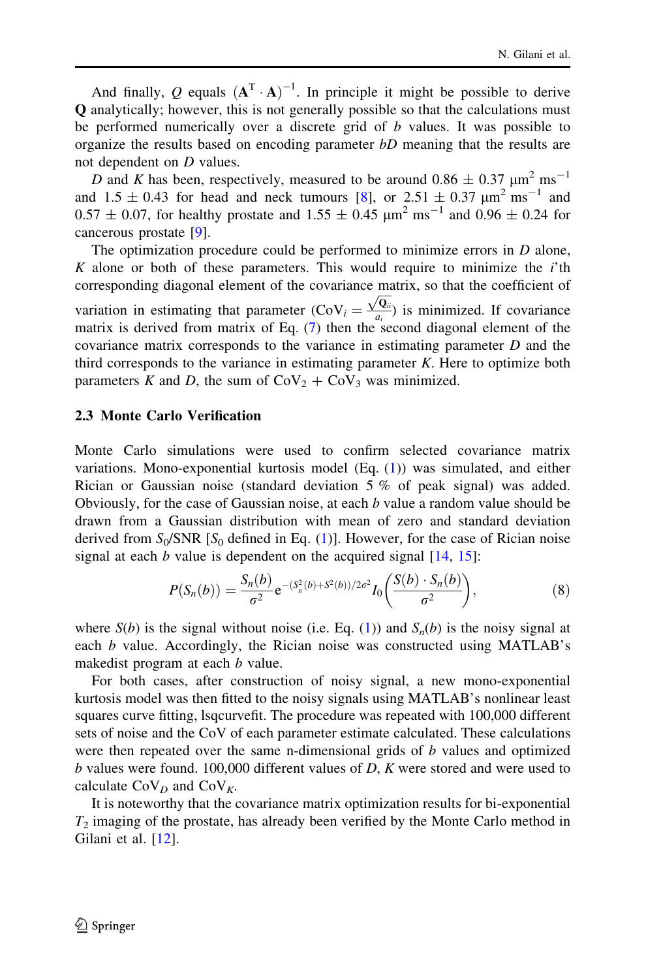And finally, Q equals  $(A^T \cdot A)^{-1}$ . In principle it might be possible to derive Q analytically; however, this is not generally possible so that the calculations must be performed numerically over a discrete grid of  $b$  values. It was possible to organize the results based on encoding parameter  $bD$  meaning that the results are not dependent on D values.

D and K has been, respectively, measured to be around  $0.86 \pm 0.37$   $\mu$ m<sup>2</sup> ms<sup>-1</sup> and  $1.5 \pm 0.43$  for head and neck tumours [\[8](#page-8-0)], or  $2.51 \pm 0.37$   $\mu$ m<sup>2</sup> ms<sup>-1</sup> and  $0.57 \pm 0.07$ , for healthy prostate and  $1.55 \pm 0.45$   $\mu$ m<sup>2</sup> ms<sup>-1</sup> and  $0.96 \pm 0.24$  for cancerous prostate [[9\]](#page-8-0).

The optimization procedure could be performed to minimize errors in  $D$  alone, K alone or both of these parameters. This would require to minimize the  $i$ <sup>th</sup> corresponding diagonal element of the covariance matrix, so that the coefficient of variation in estimating that parameter  $(CoV_i =$  $\frac{1}{\sqrt{Q_{ii}}}$  $\frac{\sum_{ii}}{a_i}$  is minimized. If covariance matrix is derived from matrix of Eq.  $(7)$  $(7)$  then the second diagonal element of the covariance matrix corresponds to the variance in estimating parameter D and the third corresponds to the variance in estimating parameter K. Here to optimize both parameters K and D, the sum of  $CoV_2 + CoV_3$  was minimized.

# 2.3 Monte Carlo Verification

Monte Carlo simulations were used to confirm selected covariance matrix variations. Mono-exponential kurtosis model (Eq. ([1\)](#page-1-0)) was simulated, and either Rician or Gaussian noise (standard deviation 5 % of peak signal) was added. Obviously, for the case of Gaussian noise, at each  $b$  value a random value should be drawn from a Gaussian distribution with mean of zero and standard deviation derived from  $S_0/\text{SNR}$  [ $S_0$  defined in Eq. [\(1](#page-1-0))]. However, for the case of Rician noise signal at each  $b$  value is dependent on the acquired signal  $[14, 15]$  $[14, 15]$  $[14, 15]$  $[14, 15]$ :

$$
P(S_n(b)) = \frac{S_n(b)}{\sigma^2} e^{-(S_n^2(b) + S^2(b))/2\sigma^2} I_0\left(\frac{S(b) \cdot S_n(b)}{\sigma^2}\right),
$$
 (8)

where  $S(b)$  is the signal without noise (i.e. Eq. ([1\)](#page-1-0)) and  $S_n(b)$  is the noisy signal at each b value. Accordingly, the Rician noise was constructed using MATLAB's makedist program at each *b* value.

For both cases, after construction of noisy signal, a new mono-exponential kurtosis model was then fitted to the noisy signals using MATLAB's nonlinear least squares curve fitting, lsqcurvefit. The procedure was repeated with 100,000 different sets of noise and the CoV of each parameter estimate calculated. These calculations were then repeated over the same n-dimensional grids of  $b$  values and optimized b values were found. 100,000 different values of  $D$ ,  $K$  were stored and were used to calculate  $CoV_D$  and  $CoV_K$ .

It is noteworthy that the covariance matrix optimization results for bi-exponential  $T_2$  imaging of the prostate, has already been verified by the Monte Carlo method in Gilani et al. [\[12](#page-8-0)].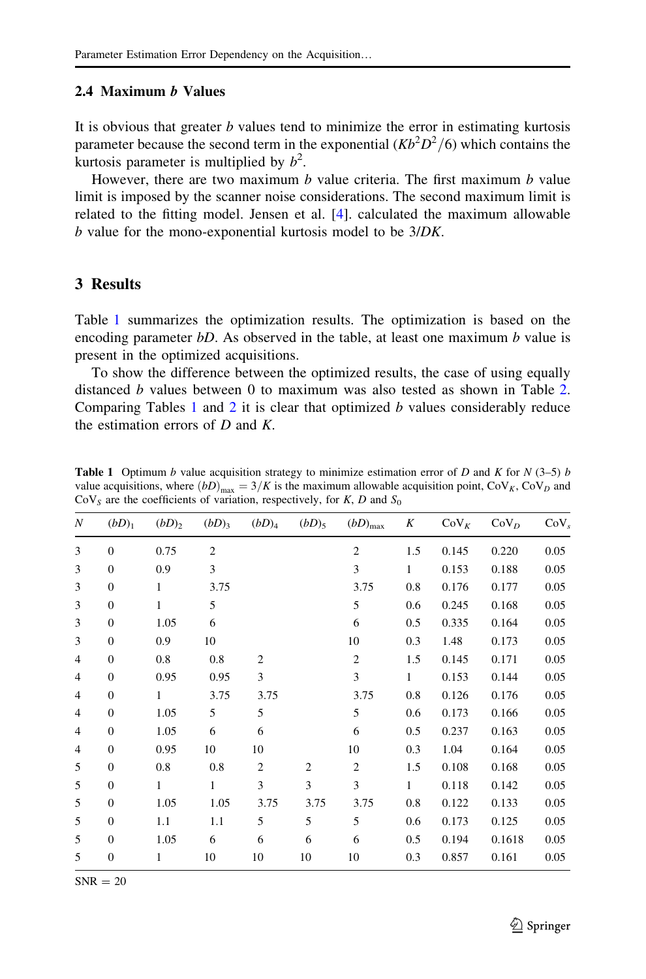#### <span id="page-4-0"></span>2.4 Maximum b Values

It is obvious that greater  $b$  values tend to minimize the error in estimating kurtosis parameter because the second term in the exponential  $(Kb^2D^2/6)$  which contains the kurtosis parameter is multiplied by  $b^2$ .

However, there are two maximum  $b$  value criteria. The first maximum  $b$  value limit is imposed by the scanner noise considerations. The second maximum limit is related to the fitting model. Jensen et al. [[4\]](#page-8-0). calculated the maximum allowable b value for the mono-exponential kurtosis model to be 3/DK.

## 3 Results

Table 1 summarizes the optimization results. The optimization is based on the encoding parameter  $bD$ . As observed in the table, at least one maximum  $b$  value is present in the optimized acquisitions.

To show the difference between the optimized results, the case of using equally distanced b values between 0 to maximum was also tested as shown in Table [2.](#page-5-0) Comparing Tables 1 and [2](#page-5-0) it is clear that optimized  $b$  values considerably reduce the estimation errors of  $D$  and  $K$ .

|                | Co $\mathbf{v}_S$ are the coefficients of variation, respectively, for $\mathbf{K}, \mathbf{D}$ and $\mathbf{v}_0$ |              |                |                   |                |                     |              |                |         |                  |  |
|----------------|--------------------------------------------------------------------------------------------------------------------|--------------|----------------|-------------------|----------------|---------------------|--------------|----------------|---------|------------------|--|
| N              | $(bD)_1$                                                                                                           | $(bD)_2$     | $(bD)_3$       | (bD) <sub>4</sub> | $(bD)_5$       | $(bD)_\mathrm{max}$ | K            | $\text{CoV}_K$ | $CoV_D$ | CoV <sub>s</sub> |  |
| 3              | $\Omega$                                                                                                           | 0.75         | $\overline{c}$ |                   |                | $\overline{2}$      | 1.5          | 0.145          | 0.220   | 0.05             |  |
| 3              | $\Omega$                                                                                                           | 0.9          | 3              |                   |                | 3                   | $\mathbf{1}$ | 0.153          | 0.188   | 0.05             |  |
| 3              | $\mathbf{0}$                                                                                                       | 1            | 3.75           |                   |                | 3.75                | 0.8          | 0.176          | 0.177   | 0.05             |  |
| 3              | $\Omega$                                                                                                           | $\mathbf{1}$ | 5              |                   |                | 5                   | 0.6          | 0.245          | 0.168   | 0.05             |  |
| 3              | $\mathbf{0}$                                                                                                       | 1.05         | 6              |                   |                | 6                   | 0.5          | 0.335          | 0.164   | 0.05             |  |
| 3              | $\mathbf{0}$                                                                                                       | 0.9          | 10             |                   |                | 10                  | 0.3          | 1.48           | 0.173   | 0.05             |  |
| $\overline{4}$ | $\Omega$                                                                                                           | 0.8          | 0.8            | $\overline{2}$    |                | $\overline{2}$      | 1.5          | 0.145          | 0.171   | 0.05             |  |
| 4              | $\mathbf{0}$                                                                                                       | 0.95         | 0.95           | 3                 |                | 3                   | $\mathbf{1}$ | 0.153          | 0.144   | 0.05             |  |
| $\overline{4}$ | $\mathbf{0}$                                                                                                       | $\mathbf{1}$ | 3.75           | 3.75              |                | 3.75                | 0.8          | 0.126          | 0.176   | 0.05             |  |
| $\overline{4}$ | $\Omega$                                                                                                           | 1.05         | 5              | 5                 |                | 5                   | 0.6          | 0.173          | 0.166   | 0.05             |  |
| 4              | $\mathbf{0}$                                                                                                       | 1.05         | 6              | 6                 |                | 6                   | 0.5          | 0.237          | 0.163   | 0.05             |  |
| 4              | $\mathbf{0}$                                                                                                       | 0.95         | 10             | 10                |                | 10                  | 0.3          | 1.04           | 0.164   | 0.05             |  |
| 5              | $\Omega$                                                                                                           | 0.8          | 0.8            | $\overline{c}$    | $\overline{c}$ | $\overline{2}$      | 1.5          | 0.108          | 0.168   | 0.05             |  |
| 5              | $\mathbf{0}$                                                                                                       | $\mathbf{1}$ | $\mathbf{1}$   | 3                 | 3              | 3                   | $\mathbf{1}$ | 0.118          | 0.142   | 0.05             |  |
| 5              | $\mathbf{0}$                                                                                                       | 1.05         | 1.05           | 3.75              | 3.75           | 3.75                | 0.8          | 0.122          | 0.133   | 0.05             |  |
| 5              | $\Omega$                                                                                                           | 1.1          | 1.1            | 5                 | 5              | 5                   | 0.6          | 0.173          | 0.125   | 0.05             |  |
| 5              | $\mathbf{0}$                                                                                                       | 1.05         | 6              | 6                 | 6              | 6                   | 0.5          | 0.194          | 0.1618  | 0.05             |  |
| 5              | $\mathbf{0}$                                                                                                       | 1            | 10             | 10                | 10             | 10                  | 0.3          | 0.857          | 0.161   | 0.05             |  |
|                |                                                                                                                    |              |                |                   |                |                     |              |                |         |                  |  |

**Table 1** Optimum *b* value acquisition strategy to minimize estimation error of D and K for N (3–5) b value acquisitions, where  $(bD)_{\text{max}} = 3/K$  is the maximum allowable acquisition point, CoV<sub>K</sub>, CoV<sub>D</sub> and  $C_0V_s$  are the coefficients of variation, respectively, for K, D and S

 $SNR = 20$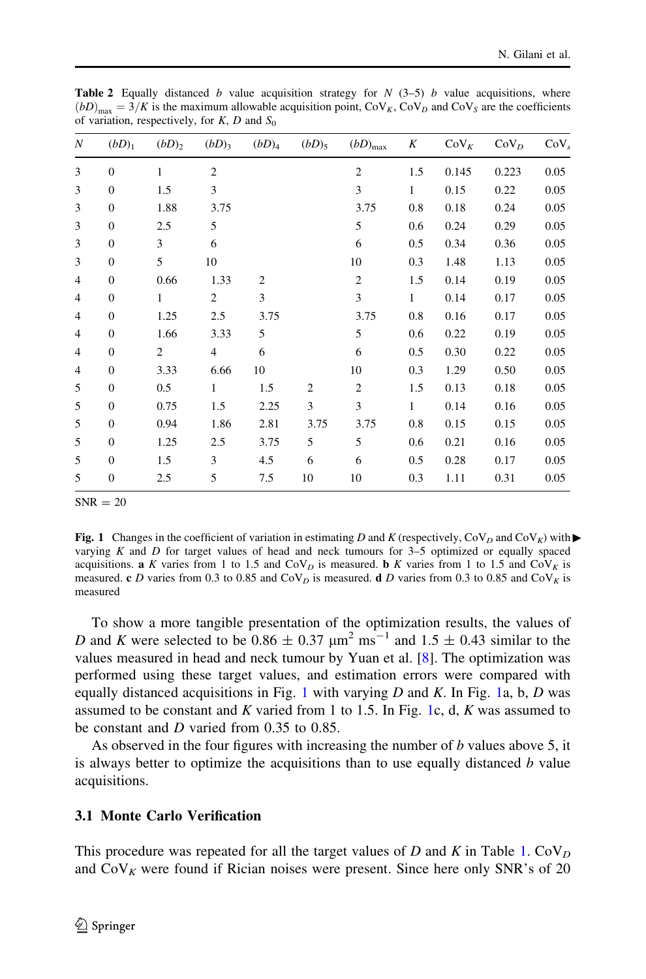<span id="page-5-0"></span>**Table 2** Equally distanced b value acquisition strategy for  $N$  (3–5) b value acquisitions, where  $(bD)_{\text{max}} = 3/K$  is the maximum allowable acquisition point, CoV<sub>K</sub>, CoV<sub>D</sub> and CoV<sub>S</sub> are the coefficients of variation, respectively, for K, D and  $S_0$ 

| N | $(bD)_1$         | $(bD)_2$       | $(bD)_{3}$     | $(bD)_4$       | $(bD)_5$       | $(bD)_{\text{max}}$ | K            | CoV <sub>K</sub> | $CoV_D$ | $CoV_s$ |
|---|------------------|----------------|----------------|----------------|----------------|---------------------|--------------|------------------|---------|---------|
| 3 | $\Omega$         | 1              | $\mathfrak{2}$ |                |                | $\overline{2}$      | 1.5          | 0.145            | 0.223   | 0.05    |
| 3 | $\mathbf{0}$     | 1.5            | 3              |                |                | 3                   | $\mathbf{1}$ | 0.15             | 0.22    | 0.05    |
| 3 | $\mathbf{0}$     | 1.88           | 3.75           |                |                | 3.75                | 0.8          | 0.18             | 0.24    | 0.05    |
| 3 | $\mathbf{0}$     | 2.5            | 5              |                |                | 5                   | 0.6          | 0.24             | 0.29    | 0.05    |
| 3 | $\mathbf{0}$     | 3              | 6              |                |                | 6                   | 0.5          | 0.34             | 0.36    | 0.05    |
| 3 | $\boldsymbol{0}$ | 5              | 10             |                |                | 10                  | 0.3          | 1.48             | 1.13    | 0.05    |
| 4 | $\boldsymbol{0}$ | 0.66           | 1.33           | $\overline{2}$ |                | $\overline{c}$      | 1.5          | 0.14             | 0.19    | 0.05    |
| 4 | $\mathbf{0}$     | $\mathbf{1}$   | $\overline{c}$ | 3              |                | 3                   | $\mathbf{1}$ | 0.14             | 0.17    | 0.05    |
| 4 | $\mathbf{0}$     | 1.25           | 2.5            | 3.75           |                | 3.75                | 0.8          | 0.16             | 0.17    | 0.05    |
| 4 | $\mathbf{0}$     | 1.66           | 3.33           | 5              |                | 5                   | 0.6          | 0.22             | 0.19    | 0.05    |
| 4 | $\Omega$         | $\overline{2}$ | $\overline{4}$ | 6              |                | 6                   | 0.5          | 0.30             | 0.22    | 0.05    |
| 4 | $\mathbf{0}$     | 3.33           | 6.66           | 10             |                | 10                  | 0.3          | 1.29             | 0.50    | 0.05    |
| 5 | $\mathbf{0}$     | 0.5            | $\mathbf{1}$   | 1.5            | $\overline{2}$ | $\overline{2}$      | 1.5          | 0.13             | 0.18    | 0.05    |
| 5 | $\mathbf{0}$     | 0.75           | 1.5            | 2.25           | 3              | 3                   | $\mathbf{1}$ | 0.14             | 0.16    | 0.05    |
| 5 | $\mathbf{0}$     | 0.94           | 1.86           | 2.81           | 3.75           | 3.75                | 0.8          | 0.15             | 0.15    | 0.05    |
| 5 | $\mathbf{0}$     | 1.25           | 2.5            | 3.75           | 5              | 5                   | 0.6          | 0.21             | 0.16    | 0.05    |
| 5 | $\mathbf{0}$     | 1.5            | 3              | 4.5            | 6              | 6                   | 0.5          | 0.28             | 0.17    | 0.05    |
| 5 | $\boldsymbol{0}$ | 2.5            | 5              | 7.5            | 10             | 10                  | 0.3          | 1.11             | 0.31    | 0.05    |

 $SNR = 20$ 

Fig. 1 Changes in the coefficient of variation in estimating D and K (respectively,  $Cov_D$  and  $Cov_K$ ) with varying K and D for target values of head and neck tumours for  $3-5$  optimized or equally spaced acquisitions. **a** K varies from 1 to 1.5 and CoV<sub>D</sub> is measured. **b** K varies from 1 to 1.5 and CoV<sub>K</sub> is measured. c D varies from 0.3 to 0.85 and CoV<sub>D</sub> is measured. d D varies from 0.3 to 0.85 and CoV<sub>K</sub> is measured

To show a more tangible presentation of the optimization results, the values of D and K were selected to be  $0.86 \pm 0.37$   $\mu$ m<sup>2</sup> ms<sup>-1</sup> and  $1.5 \pm 0.43$  similar to the values measured in head and neck tumour by Yuan et al. [\[8](#page-8-0)]. The optimization was performed using these target values, and estimation errors were compared with equally distanced acquisitions in Fig. 1 with varying  $D$  and  $K$ . In Fig. 1a, b,  $D$  was assumed to be constant and K varied from 1 to 1.5. In Fig. 1c, d, K was assumed to be constant and D varied from 0.35 to 0.85.

As observed in the four figures with increasing the number of  $b$  values above 5, it is always better to optimize the acquisitions than to use equally distanced  $b$  value acquisitions.

#### 3.1 Monte Carlo Verification

This procedure was repeated for all the target values of D and K in Table [1.](#page-4-0)  $\text{CoV}_D$ and  $\text{CoV}_K$  were found if Rician noises were present. Since here only SNR's of 20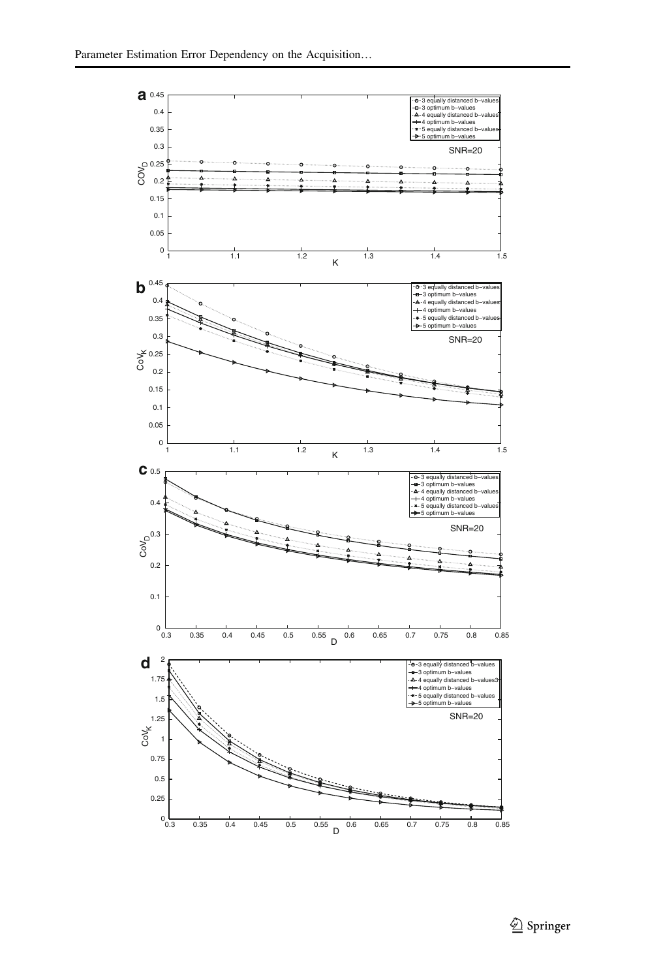

<sup>2</sup> Springer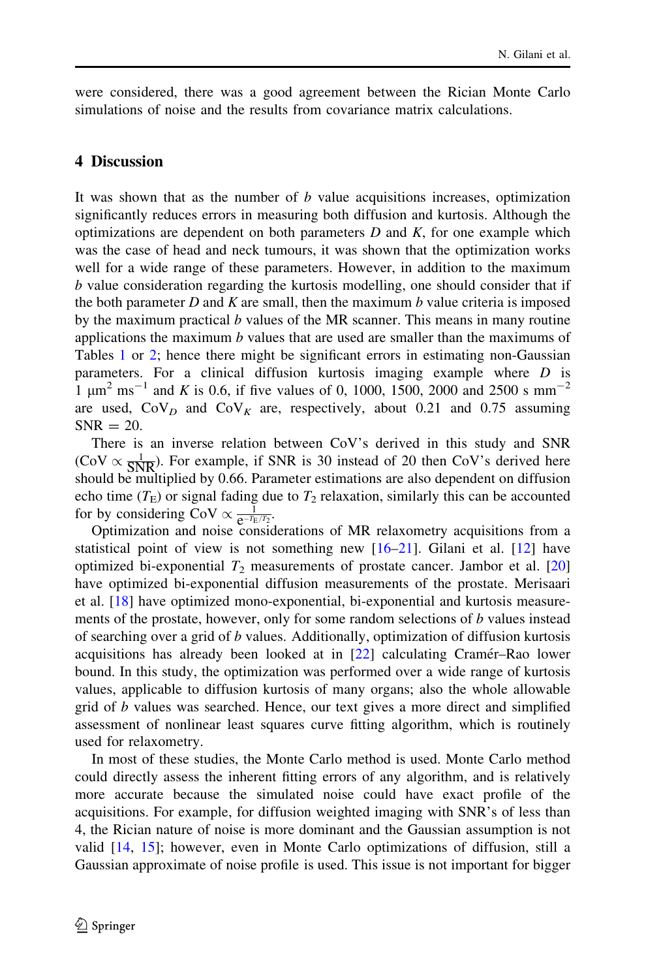were considered, there was a good agreement between the Rician Monte Carlo simulations of noise and the results from covariance matrix calculations.

## 4 Discussion

It was shown that as the number of  $b$  value acquisitions increases, optimization significantly reduces errors in measuring both diffusion and kurtosis. Although the optimizations are dependent on both parameters  $D$  and  $K$ , for one example which was the case of head and neck tumours, it was shown that the optimization works well for a wide range of these parameters. However, in addition to the maximum b value consideration regarding the kurtosis modelling, one should consider that if the both parameter D and K are small, then the maximum b value criteria is imposed by the maximum practical  $b$  values of the MR scanner. This means in many routine applications the maximum  $b$  values that are used are smaller than the maximums of Tables [1](#page-4-0) or [2;](#page-5-0) hence there might be significant errors in estimating non-Gaussian parameters. For a clinical diffusion kurtosis imaging example where  $D$  is  $1 \mu m^2$  ms<sup>-1</sup> and K is 0.6, if five values of 0, 1000, 1500, 2000 and 2500 s mm<sup>-2</sup> are used,  $CoV_D$  and  $CoV_K$  are, respectively, about 0.21 and 0.75 assuming  $SNR = 20$ .

There is an inverse relation between CoV's derived in this study and SNR  $(Cov \propto \frac{1}{SNR})$ . For example, if SNR is 30 instead of 20 then CoV's derived here should be multiplied by 0.66. Parameter estimations are also dependent on diffusion echo time  $(T_E)$  or signal fading due to  $T_2$  relaxation, similarly this can be accounted for by considering  $\text{CoV} \propto \frac{1}{e^{-T_E/T_2}}$ .

Optimization and noise considerations of MR relaxometry acquisitions from a statistical point of view is not something new [\[16–21](#page-9-0)]. Gilani et al. [\[12](#page-8-0)] have optimized bi-exponential  $T_2$  measurements of prostate cancer. Jambor et al. [\[20\]](#page-9-0) have optimized bi-exponential diffusion measurements of the prostate. Merisaari et al. [[18\]](#page-9-0) have optimized mono-exponential, bi-exponential and kurtosis measurements of the prostate, however, only for some random selections of  $b$  values instead of searching over a grid of  $b$  values. Additionally, optimization of diffusion kurtosis acquisitions has already been looked at in  $[22]$  $[22]$  calculating Cramér–Rao lower bound. In this study, the optimization was performed over a wide range of kurtosis values, applicable to diffusion kurtosis of many organs; also the whole allowable grid of b values was searched. Hence, our text gives a more direct and simplified assessment of nonlinear least squares curve fitting algorithm, which is routinely used for relaxometry.

In most of these studies, the Monte Carlo method is used. Monte Carlo method could directly assess the inherent fitting errors of any algorithm, and is relatively more accurate because the simulated noise could have exact profile of the acquisitions. For example, for diffusion weighted imaging with SNR's of less than 4, the Rician nature of noise is more dominant and the Gaussian assumption is not valid [[14,](#page-8-0) [15\]](#page-8-0); however, even in Monte Carlo optimizations of diffusion, still a Gaussian approximate of noise profile is used. This issue is not important for bigger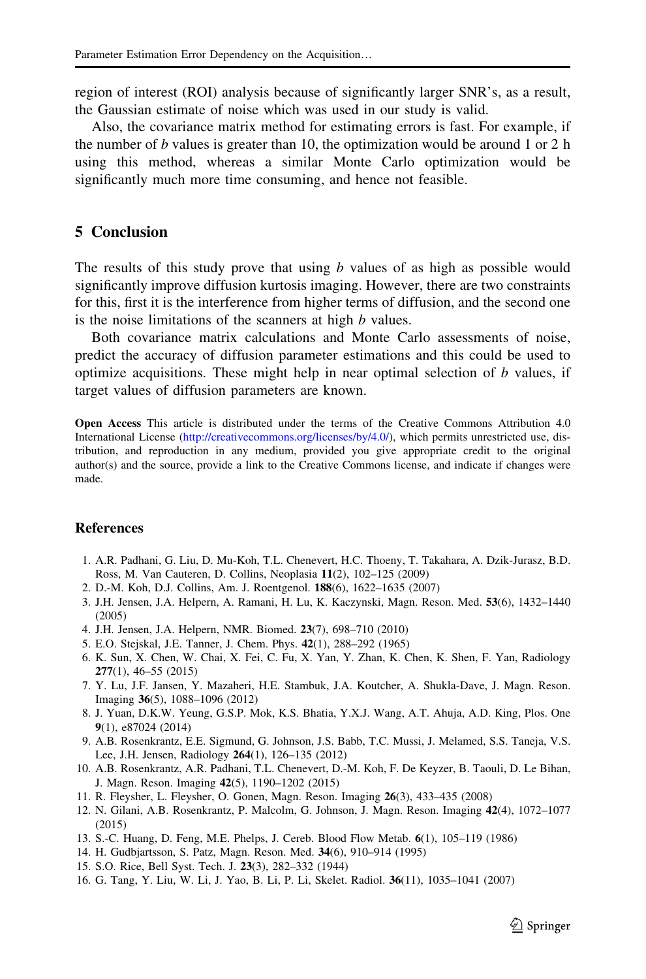<span id="page-8-0"></span>region of interest (ROI) analysis because of significantly larger SNR's, as a result, the Gaussian estimate of noise which was used in our study is valid.

Also, the covariance matrix method for estimating errors is fast. For example, if the number of b values is greater than 10, the optimization would be around 1 or 2 h using this method, whereas a similar Monte Carlo optimization would be significantly much more time consuming, and hence not feasible.

# 5 Conclusion

The results of this study prove that using  $b$  values of as high as possible would significantly improve diffusion kurtosis imaging. However, there are two constraints for this, first it is the interference from higher terms of diffusion, and the second one is the noise limitations of the scanners at high  $b$  values.

Both covariance matrix calculations and Monte Carlo assessments of noise, predict the accuracy of diffusion parameter estimations and this could be used to optimize acquisitions. These might help in near optimal selection of  $b$  values, if target values of diffusion parameters are known.

Open Access This article is distributed under the terms of the Creative Commons Attribution 4.0 International License ([http://creativecommons.org/licenses/by/4.0/\)](http://creativecommons.org/licenses/by/4.0/), which permits unrestricted use, distribution, and reproduction in any medium, provided you give appropriate credit to the original author(s) and the source, provide a link to the Creative Commons license, and indicate if changes were made.

#### References

- 1. A.R. Padhani, G. Liu, D. Mu-Koh, T.L. Chenevert, H.C. Thoeny, T. Takahara, A. Dzik-Jurasz, B.D. Ross, M. Van Cauteren, D. Collins, Neoplasia 11(2), 102–125 (2009)
- 2. D.-M. Koh, D.J. Collins, Am. J. Roentgenol. 188(6), 1622–1635 (2007)
- 3. J.H. Jensen, J.A. Helpern, A. Ramani, H. Lu, K. Kaczynski, Magn. Reson. Med. 53(6), 1432–1440 (2005)
- 4. J.H. Jensen, J.A. Helpern, NMR. Biomed. 23(7), 698–710 (2010)
- 5. E.O. Stejskal, J.E. Tanner, J. Chem. Phys. 42(1), 288–292 (1965)
- 6. K. Sun, X. Chen, W. Chai, X. Fei, C. Fu, X. Yan, Y. Zhan, K. Chen, K. Shen, F. Yan, Radiology 277(1), 46–55 (2015)
- 7. Y. Lu, J.F. Jansen, Y. Mazaheri, H.E. Stambuk, J.A. Koutcher, A. Shukla-Dave, J. Magn. Reson. Imaging 36(5), 1088–1096 (2012)
- 8. J. Yuan, D.K.W. Yeung, G.S.P. Mok, K.S. Bhatia, Y.X.J. Wang, A.T. Ahuja, A.D. King, Plos. One 9(1), e87024 (2014)
- 9. A.B. Rosenkrantz, E.E. Sigmund, G. Johnson, J.S. Babb, T.C. Mussi, J. Melamed, S.S. Taneja, V.S. Lee, J.H. Jensen, Radiology 264(1), 126–135 (2012)
- 10. A.B. Rosenkrantz, A.R. Padhani, T.L. Chenevert, D.-M. Koh, F. De Keyzer, B. Taouli, D. Le Bihan, J. Magn. Reson. Imaging 42(5), 1190–1202 (2015)
- 11. R. Fleysher, L. Fleysher, O. Gonen, Magn. Reson. Imaging 26(3), 433–435 (2008)
- 12. N. Gilani, A.B. Rosenkrantz, P. Malcolm, G. Johnson, J. Magn. Reson. Imaging 42(4), 1072–1077 (2015)
- 13. S.-C. Huang, D. Feng, M.E. Phelps, J. Cereb. Blood Flow Metab. 6(1), 105–119 (1986)
- 14. H. Gudbjartsson, S. Patz, Magn. Reson. Med. 34(6), 910–914 (1995)
- 15. S.O. Rice, Bell Syst. Tech. J. 23(3), 282–332 (1944)
- 16. G. Tang, Y. Liu, W. Li, J. Yao, B. Li, P. Li, Skelet. Radiol. 36(11), 1035–1041 (2007)